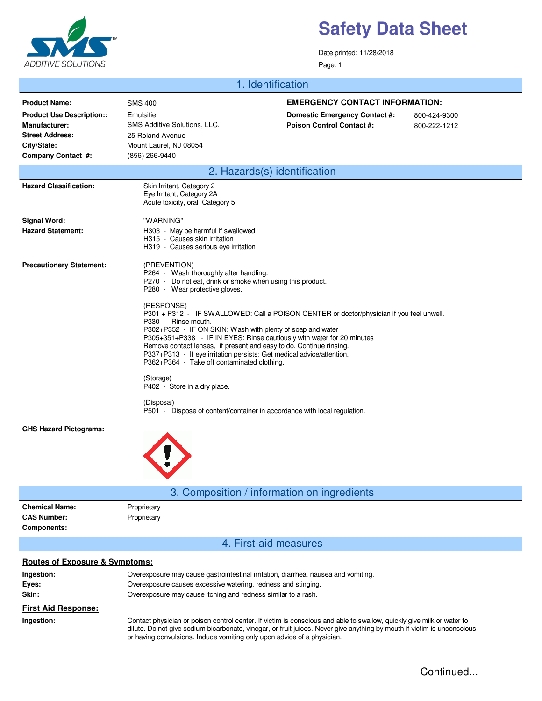

Date printed: 11/28/2018 Page: 1

#### 1. Identification

| <b>Product Name:</b>                                              | <b>SMS 400</b>                                                                                                                                                                                                                                                                                                                                                                                                                                                       | <b>EMERGENCY CONTACT INFORMATION:</b> |              |  |  |
|-------------------------------------------------------------------|----------------------------------------------------------------------------------------------------------------------------------------------------------------------------------------------------------------------------------------------------------------------------------------------------------------------------------------------------------------------------------------------------------------------------------------------------------------------|---------------------------------------|--------------|--|--|
| <b>Product Use Description::</b>                                  | Emulsifier                                                                                                                                                                                                                                                                                                                                                                                                                                                           | Domestic Emergency Contact #:         | 800-424-9300 |  |  |
| <b>Manufacturer:</b>                                              | SMS Additive Solutions, LLC.                                                                                                                                                                                                                                                                                                                                                                                                                                         | <b>Poison Control Contact#:</b>       | 800-222-1212 |  |  |
| <b>Street Address:</b>                                            | 25 Roland Avenue                                                                                                                                                                                                                                                                                                                                                                                                                                                     |                                       |              |  |  |
| City/State:                                                       | Mount Laurel, NJ 08054                                                                                                                                                                                                                                                                                                                                                                                                                                               |                                       |              |  |  |
| Company Contact #:                                                | (856) 266-9440                                                                                                                                                                                                                                                                                                                                                                                                                                                       |                                       |              |  |  |
|                                                                   | 2. Hazards(s) identification                                                                                                                                                                                                                                                                                                                                                                                                                                         |                                       |              |  |  |
| <b>Hazard Classification:</b>                                     | Skin Irritant, Category 2<br>Eye Irritant, Category 2A<br>Acute toxicity, oral Category 5                                                                                                                                                                                                                                                                                                                                                                            |                                       |              |  |  |
| <b>Signal Word:</b>                                               | "WARNING"                                                                                                                                                                                                                                                                                                                                                                                                                                                            |                                       |              |  |  |
| <b>Hazard Statement:</b>                                          | H303 - May be harmful if swallowed<br>H315 - Causes skin irritation<br>H319 - Causes serious eye irritation                                                                                                                                                                                                                                                                                                                                                          |                                       |              |  |  |
| <b>Precautionary Statement:</b>                                   | (PREVENTION)<br>P264 - Wash thoroughly after handling.<br>P270 - Do not eat, drink or smoke when using this product.<br>P280 - Wear protective gloves.                                                                                                                                                                                                                                                                                                               |                                       |              |  |  |
|                                                                   | (RESPONSE)<br>P301 + P312 - IF SWALLOWED: Call a POISON CENTER or doctor/physician if you feel unwell.<br>P330 - Rinse mouth.<br>P302+P352 - IF ON SKIN: Wash with plenty of soap and water<br>P305+351+P338 - IF IN EYES: Rinse cautiously with water for 20 minutes<br>Remove contact lenses, if present and easy to do. Continue rinsing.<br>P337+P313 - If eye irritation persists: Get medical advice/attention.<br>P362+P364 - Take off contaminated clothing. |                                       |              |  |  |
|                                                                   | (Storage)<br>P402 - Store in a dry place.                                                                                                                                                                                                                                                                                                                                                                                                                            |                                       |              |  |  |
|                                                                   | (Disposal)<br>P501 - Dispose of content/container in accordance with local regulation.                                                                                                                                                                                                                                                                                                                                                                               |                                       |              |  |  |
| <b>GHS Hazard Pictograms:</b>                                     |                                                                                                                                                                                                                                                                                                                                                                                                                                                                      |                                       |              |  |  |
|                                                                   | 3. Composition / information on ingredients                                                                                                                                                                                                                                                                                                                                                                                                                          |                                       |              |  |  |
| <b>Chemical Name:</b><br><b>CAS Number:</b><br><b>Components:</b> | Proprietary<br>Proprietary                                                                                                                                                                                                                                                                                                                                                                                                                                           |                                       |              |  |  |
|                                                                   | 4. First-aid measures                                                                                                                                                                                                                                                                                                                                                                                                                                                |                                       |              |  |  |
| <b>Routes of Exposure &amp; Symptoms:</b>                         |                                                                                                                                                                                                                                                                                                                                                                                                                                                                      |                                       |              |  |  |
| Ingestion:                                                        | Overexposure may cause gastrointestinal irritation, diarrhea, nausea and vomiting.                                                                                                                                                                                                                                                                                                                                                                                   |                                       |              |  |  |
| Eyes:                                                             | Overexposure causes excessive watering, redness and stinging.                                                                                                                                                                                                                                                                                                                                                                                                        |                                       |              |  |  |
| Skin:                                                             | Overexposure may cause itching and redness similar to a rash.                                                                                                                                                                                                                                                                                                                                                                                                        |                                       |              |  |  |
| <b>First Aid Response:</b>                                        |                                                                                                                                                                                                                                                                                                                                                                                                                                                                      |                                       |              |  |  |
| Ingestion:                                                        | Contact physician or poison control center. If victim is conscious and able to swallow, quickly give milk or water to<br>dilute. Do not give sodium bicarbonate, vinegar, or fruit juices. Never give anything by mouth if victim is unconscious<br>or having convulsions. Induce vomiting only upon advice of a physician.                                                                                                                                          |                                       |              |  |  |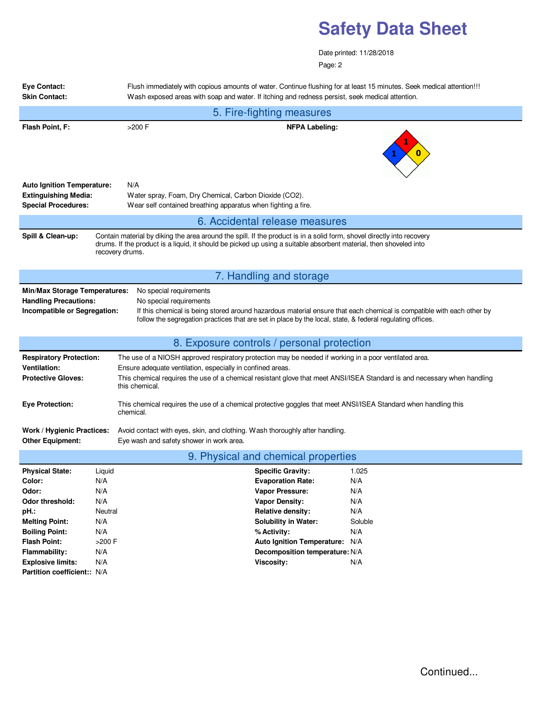Date printed: 11/28/2018 Page: 2

| <b>Eye Contact:</b><br><b>Skin Contact:</b>                                                                                                                                                                                                                                                                                                                                                      |                                                                              | Flush immediately with copious amounts of water. Continue flushing for at least 15 minutes. Seek medical attention!!!<br>Wash exposed areas with soap and water. If itching and redness persist, seek medical attention.                                                                                           |  |                                                                                                                                                                                                                                                                 |                                                                   |  |  |
|--------------------------------------------------------------------------------------------------------------------------------------------------------------------------------------------------------------------------------------------------------------------------------------------------------------------------------------------------------------------------------------------------|------------------------------------------------------------------------------|--------------------------------------------------------------------------------------------------------------------------------------------------------------------------------------------------------------------------------------------------------------------------------------------------------------------|--|-----------------------------------------------------------------------------------------------------------------------------------------------------------------------------------------------------------------------------------------------------------------|-------------------------------------------------------------------|--|--|
| 5. Fire-fighting measures                                                                                                                                                                                                                                                                                                                                                                        |                                                                              |                                                                                                                                                                                                                                                                                                                    |  |                                                                                                                                                                                                                                                                 |                                                                   |  |  |
| Flash Point, F:                                                                                                                                                                                                                                                                                                                                                                                  |                                                                              | $>200$ F<br><b>NFPA Labeling:</b>                                                                                                                                                                                                                                                                                  |  |                                                                                                                                                                                                                                                                 |                                                                   |  |  |
| <b>Auto Ignition Temperature:</b><br><b>Extinguishing Media:</b><br><b>Special Procedures:</b>                                                                                                                                                                                                                                                                                                   |                                                                              | N/A<br>Water spray, Foam, Dry Chemical, Carbon Dioxide (CO2).<br>Wear self contained breathing apparatus when fighting a fire.                                                                                                                                                                                     |  |                                                                                                                                                                                                                                                                 |                                                                   |  |  |
|                                                                                                                                                                                                                                                                                                                                                                                                  |                                                                              |                                                                                                                                                                                                                                                                                                                    |  | 6. Accidental release measures                                                                                                                                                                                                                                  |                                                                   |  |  |
| Spill & Clean-up:<br>Contain material by diking the area around the spill. If the product is in a solid form, shovel directly into recovery<br>drums. If the product is a liquid, it should be picked up using a suitable absorbent material, then shoveled into<br>recovery drums.                                                                                                              |                                                                              |                                                                                                                                                                                                                                                                                                                    |  |                                                                                                                                                                                                                                                                 |                                                                   |  |  |
|                                                                                                                                                                                                                                                                                                                                                                                                  |                                                                              |                                                                                                                                                                                                                                                                                                                    |  | 7. Handling and storage                                                                                                                                                                                                                                         |                                                                   |  |  |
| No special requirements<br><b>Min/Max Storage Temperatures:</b><br><b>Handling Precautions:</b><br>No special requirements<br>If this chemical is being stored around hazardous material ensure that each chemical is compatible with each other by<br>Incompatible or Segregation:<br>follow the segregation practices that are set in place by the local, state, & federal regulating offices. |                                                                              |                                                                                                                                                                                                                                                                                                                    |  |                                                                                                                                                                                                                                                                 |                                                                   |  |  |
|                                                                                                                                                                                                                                                                                                                                                                                                  |                                                                              |                                                                                                                                                                                                                                                                                                                    |  | 8. Exposure controls / personal protection                                                                                                                                                                                                                      |                                                                   |  |  |
| <b>Respiratory Protection:</b><br><b>Ventilation:</b><br><b>Protective Gloves:</b>                                                                                                                                                                                                                                                                                                               |                                                                              | The use of a NIOSH approved respiratory protection may be needed if working in a poor ventilated area.<br>Ensure adequate ventilation, especially in confined areas.<br>This chemical requires the use of a chemical resistant glove that meet ANSI/ISEA Standard is and necessary when handling<br>this chemical. |  |                                                                                                                                                                                                                                                                 |                                                                   |  |  |
| <b>Eye Protection:</b>                                                                                                                                                                                                                                                                                                                                                                           |                                                                              | This chemical requires the use of a chemical protective goggles that meet ANSI/ISEA Standard when handling this<br>chemical.                                                                                                                                                                                       |  |                                                                                                                                                                                                                                                                 |                                                                   |  |  |
| Work / Hygienic Practices:<br><b>Other Equipment:</b>                                                                                                                                                                                                                                                                                                                                            |                                                                              | Avoid contact with eyes, skin, and clothing. Wash thoroughly after handling.<br>Eye wash and safety shower in work area.                                                                                                                                                                                           |  |                                                                                                                                                                                                                                                                 |                                                                   |  |  |
| 9. Physical and chemical properties                                                                                                                                                                                                                                                                                                                                                              |                                                                              |                                                                                                                                                                                                                                                                                                                    |  |                                                                                                                                                                                                                                                                 |                                                                   |  |  |
| <b>Physical State:</b><br>Color:<br>Odor:<br><b>Odor threshold:</b><br>pH.:<br><b>Melting Point:</b><br><b>Boiling Point:</b><br><b>Flash Point:</b><br>Flammability:<br><b>Explosive limits:</b>                                                                                                                                                                                                | Liquid<br>N/A<br>N/A<br>N/A<br>Neutral<br>N/A<br>N/A<br>>200 F<br>N/A<br>N/A |                                                                                                                                                                                                                                                                                                                    |  | <b>Specific Gravity:</b><br><b>Evaporation Rate:</b><br>Vapor Pressure:<br><b>Vapor Density:</b><br><b>Relative density:</b><br><b>Solubility in Water:</b><br>% Activity:<br><b>Auto Ignition Temperature:</b><br>Decomposition temperature: N/A<br>Viscosity: | 1.025<br>N/A<br>N/A<br>N/A<br>N/A<br>Soluble<br>N/A<br>N/A<br>N/A |  |  |
| Partition coefficient:: N/A                                                                                                                                                                                                                                                                                                                                                                      |                                                                              |                                                                                                                                                                                                                                                                                                                    |  |                                                                                                                                                                                                                                                                 |                                                                   |  |  |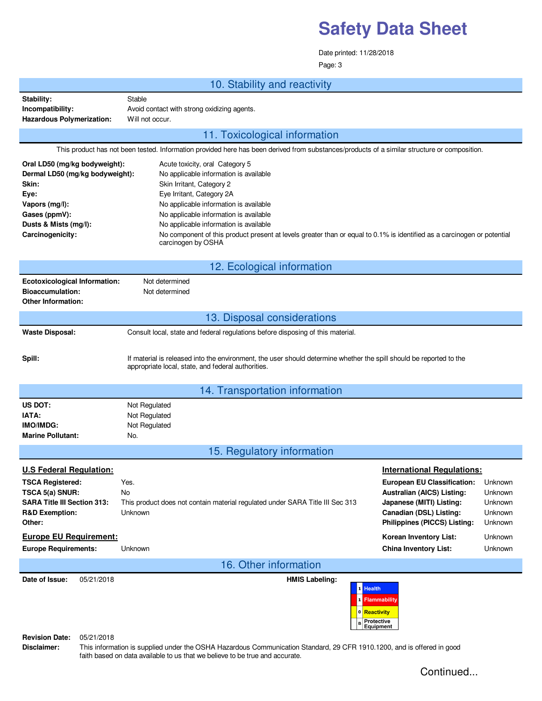Date printed: 11/28/2018

Page: 3

|                                                                                                                                                                   | 10. Stability and reactivity                                                                                                                                                                                                                                                                                                                                                                                       |                                                                                                                                                                                                                                                     |  |  |  |  |  |
|-------------------------------------------------------------------------------------------------------------------------------------------------------------------|--------------------------------------------------------------------------------------------------------------------------------------------------------------------------------------------------------------------------------------------------------------------------------------------------------------------------------------------------------------------------------------------------------------------|-----------------------------------------------------------------------------------------------------------------------------------------------------------------------------------------------------------------------------------------------------|--|--|--|--|--|
| Stability:<br>Incompatibility:<br>Hazardous Polymerization:                                                                                                       | Stable<br>Avoid contact with strong oxidizing agents.<br>Will not occur.                                                                                                                                                                                                                                                                                                                                           |                                                                                                                                                                                                                                                     |  |  |  |  |  |
| 11. Toxicological information                                                                                                                                     |                                                                                                                                                                                                                                                                                                                                                                                                                    |                                                                                                                                                                                                                                                     |  |  |  |  |  |
| This product has not been tested. Information provided here has been derived from substances/products of a similar structure or composition.                      |                                                                                                                                                                                                                                                                                                                                                                                                                    |                                                                                                                                                                                                                                                     |  |  |  |  |  |
| Oral LD50 (mg/kg bodyweight):<br>Dermal LD50 (mg/kg bodyweight):<br>Skin:<br>Eye:<br>Vapors (mg/l):<br>Gases (ppmV):<br>Dusts & Mists (mg/l):<br>Carcinogenicity: | Acute toxicity, oral Category 5<br>No applicable information is available<br>Skin Irritant, Category 2<br>Eye Irritant, Category 2A<br>No applicable information is available<br>No applicable information is available<br>No applicable information is available<br>No component of this product present at levels greater than or equal to 0.1% is identified as a carcinogen or potential<br>carcinogen by OSHA |                                                                                                                                                                                                                                                     |  |  |  |  |  |
| 12. Ecological information                                                                                                                                        |                                                                                                                                                                                                                                                                                                                                                                                                                    |                                                                                                                                                                                                                                                     |  |  |  |  |  |
| <b>Ecotoxicological Information:</b><br><b>Bioaccumulation:</b><br><b>Other Information:</b>                                                                      | Not determined<br>Not determined                                                                                                                                                                                                                                                                                                                                                                                   |                                                                                                                                                                                                                                                     |  |  |  |  |  |
|                                                                                                                                                                   | 13. Disposal considerations                                                                                                                                                                                                                                                                                                                                                                                        |                                                                                                                                                                                                                                                     |  |  |  |  |  |
| <b>Waste Disposal:</b>                                                                                                                                            | Consult local, state and federal regulations before disposing of this material.                                                                                                                                                                                                                                                                                                                                    |                                                                                                                                                                                                                                                     |  |  |  |  |  |
| Spill:                                                                                                                                                            | If material is released into the environment, the user should determine whether the spill should be reported to the<br>appropriate local, state, and federal authorities.                                                                                                                                                                                                                                          |                                                                                                                                                                                                                                                     |  |  |  |  |  |
|                                                                                                                                                                   | 14. Transportation information                                                                                                                                                                                                                                                                                                                                                                                     |                                                                                                                                                                                                                                                     |  |  |  |  |  |
| US DOT:<br>IATA:<br>IMO/IMDG:<br><b>Marine Pollutant:</b>                                                                                                         | Not Regulated<br>Not Regulated<br>Not Regulated<br>No.                                                                                                                                                                                                                                                                                                                                                             |                                                                                                                                                                                                                                                     |  |  |  |  |  |
|                                                                                                                                                                   | 15. Regulatory information                                                                                                                                                                                                                                                                                                                                                                                         |                                                                                                                                                                                                                                                     |  |  |  |  |  |
| <b>U.S Federal Regulation:</b><br><b>TSCA Registered:</b><br>TSCA 5(a) SNUR:<br><b>SARA Title III Section 313:</b><br><b>R&amp;D Exemption:</b><br>Other:         | Yes.<br>No<br>This product does not contain material regulated under SARA Title III Sec 313<br>Unknown                                                                                                                                                                                                                                                                                                             | <b>International Regulations:</b><br><b>European EU Classification:</b><br>Unknown<br>Australian (AICS) Listing:<br>Unknown<br>Japanese (MITI) Listing:<br>Unknown<br>Canadian (DSL) Listing:<br>Unknown<br>Philippines (PICCS) Listing:<br>Unknown |  |  |  |  |  |
| <b>Europe EU Requirement:</b><br><b>Europe Requirements:</b>                                                                                                      | Unknown                                                                                                                                                                                                                                                                                                                                                                                                            | Korean Inventory List:<br>Unknown<br><b>China Inventory List:</b><br>Unknown                                                                                                                                                                        |  |  |  |  |  |
|                                                                                                                                                                   | 16. Other information                                                                                                                                                                                                                                                                                                                                                                                              |                                                                                                                                                                                                                                                     |  |  |  |  |  |
| 05/21/2018<br>Date of Issue:<br><b>Revision Date: 05/21/2018</b>                                                                                                  | <b>HMIS Labeling:</b><br><b>Health</b><br>0 Reactivity<br><b>B</b> Protective<br>Equipment                                                                                                                                                                                                                                                                                                                         | <b>Flammability</b>                                                                                                                                                                                                                                 |  |  |  |  |  |

**Disclaimer:** This information is supplied under the OSHA Hazardous Communication Standard, 29 CFR 1910.1200, and is offered in good faith based on data available to us that we believe to be true and accurate.